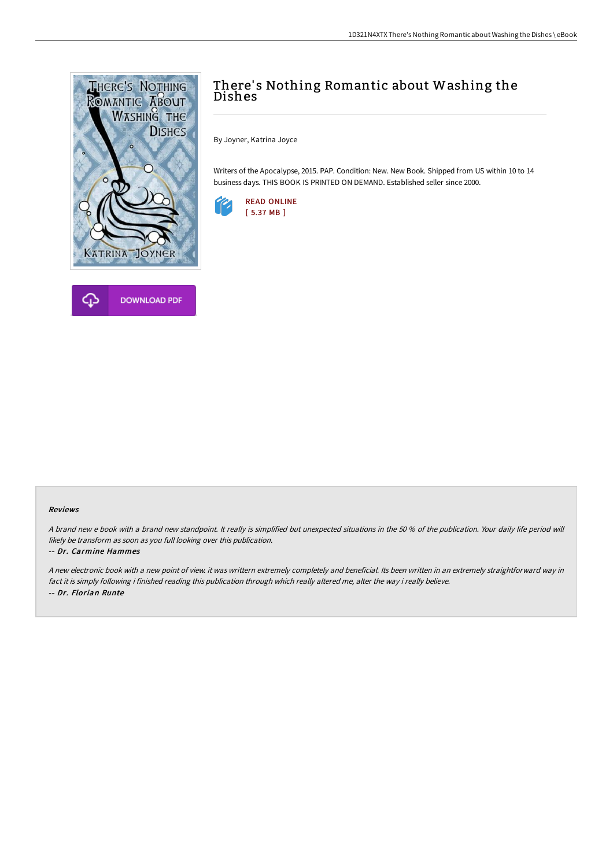



## There's Nothing Romantic about Washing the Dishes

By Joyner, Katrina Joyce

Writers of the Apocalypse, 2015. PAP. Condition: New. New Book. Shipped from US within 10 to 14 business days. THIS BOOK IS PRINTED ON DEMAND. Established seller since 2000.



## Reviews

A brand new <sup>e</sup> book with <sup>a</sup> brand new standpoint. It really is simplified but unexpected situations in the 50 % of the publication. Your daily life period will likely be transform as soon as you full looking over this publication.

## -- Dr. Carmine Hammes

<sup>A</sup> new electronic book with <sup>a</sup> new point of view. it was writtern extremely completely and beneficial. Its been written in an extremely straightforward way in fact it is simply following i finished reading this publication through which really altered me, alter the way i really believe. -- Dr. Florian Runte